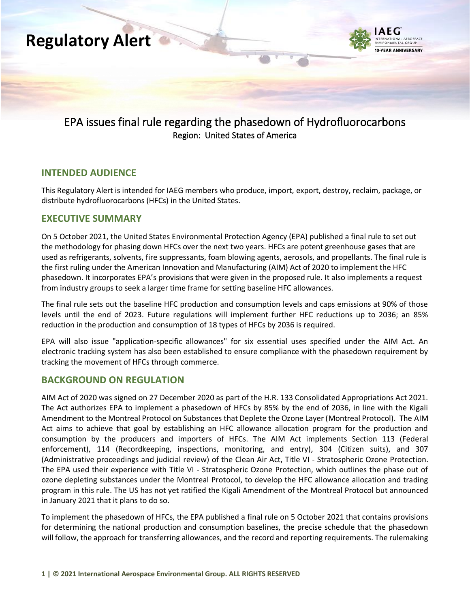



## EPA issues final rule regarding the phasedown of Hydrofluorocarbons Region: United States of America

#### **INTENDED AUDIENCE**

This Regulatory Alert is intended for IAEG members who produce, import, export, destroy, reclaim, package, or distribute hydrofluorocarbons (HFCs) in the United States.

#### **EXECUTIVE SUMMARY**

On 5 October 2021, the United States Environmental Protection Agency (EPA) published a final rule to set out the methodology for phasing down HFCs over the next two years. HFCs are potent greenhouse gases that are used as refrigerants, solvents, fire suppressants, foam blowing agents, aerosols, and propellants. The final rule is the first ruling under the American Innovation and Manufacturing (AIM) Act of 2020 to implement the HFC phasedown. It incorporates EPA's provisions that were given in the proposed rule. It also implements a request from industry groups to seek a larger time frame for setting baseline HFC allowances.

The final rule sets out the baseline HFC production and consumption levels and caps emissions at 90% of those levels until the end of 2023. Future regulations will implement further HFC reductions up to 2036; an 85% reduction in the production and consumption of 18 types of HFCs by 2036 is required.

EPA will also issue "application-specific allowances" for six essential uses specified under the AIM Act. An electronic tracking system has also been established to ensure compliance with the phasedown requirement by tracking the movement of HFCs through commerce.

#### **BACKGROUND ON REGULATION**

AIM Act of 2020 was signed on 27 December 2020 as part of the H.R. 133 Consolidated Appropriations Act 2021. The Act authorizes EPA to implement a phasedown of HFCs by 85% by the end of 2036, in line with the Kigali Amendment to the Montreal Protocol on Substances that Deplete the Ozone Layer (Montreal Protocol). The AIM Act aims to achieve that goal by establishing an HFC allowance allocation program for the production and consumption by the producers and importers of HFCs. The AIM Act implements Section 113 (Federal enforcement), 114 (Recordkeeping, inspections, monitoring, and entry), 304 (Citizen suits), and 307 (Administrative proceedings and judicial review) of the Clean Air Act, Title VI - Stratospheric Ozone Protection. The EPA used their experience with Title VI - Stratospheric Ozone Protection, which outlines the phase out of ozone depleting substances under the Montreal Protocol, to develop the HFC allowance allocation and trading program in this rule. The US has not yet ratified the Kigali Amendment of the Montreal Protocol but announced in January 2021 that it plans to do so.

To implement the phasedown of HFCs, the EPA published a final rule on 5 October 2021 that contains provisions for determining the national production and consumption baselines, the precise schedule that the phasedown will follow, the approach for transferring allowances, and the record and reporting requirements. The rulemaking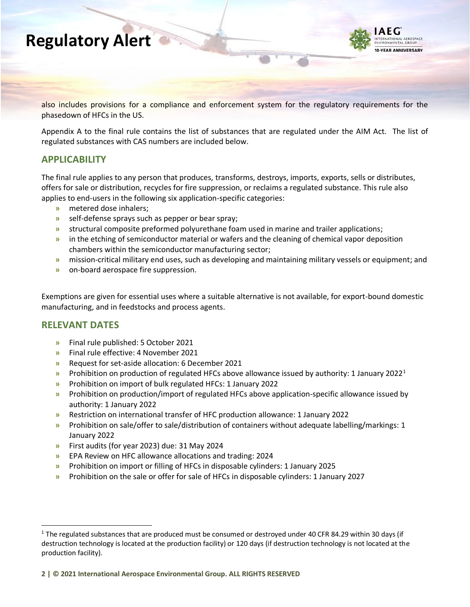# **Regulatory Alert**



also includes provisions for a compliance and enforcement system for the regulatory requirements for the phasedown of HFCs in the US.

Appendix A to the final rule contains the list of substances that are regulated under the AIM Act. The list of regulated substances with CAS numbers are included below.

### **APPLICABILITY**

The final rule applies to any person that produces, transforms, destroys, imports, exports, sells or distributes, offers for sale or distribution, recycles for fire suppression, or reclaims a regulated substance. This rule also applies to end-users in the following six application-specific categories:

- **»** metered dose inhalers;
- **»** self-defense sprays such as pepper or bear spray;
- **»** structural composite preformed polyurethane foam used in marine and trailer applications;
- **»** in the etching of semiconductor material or wafers and the cleaning of chemical vapor deposition chambers within the semiconductor manufacturing sector;
- **»** mission-critical military end uses, such as developing and maintaining military vessels or equipment; and
- **»** on-board aerospace fire suppression.

Exemptions are given for essential uses where a suitable alternative is not available, for export-bound domestic manufacturing, and in feedstocks and process agents.

### **RELEVANT DATES**

- **»** Final rule published: 5 October 2021
- **»** Final rule effective: 4 November 2021
- **»** Request for set-aside allocation: 6 December 2021
- **»** Prohibition on production of regulated HFCs above allowance issued by authority: 1 January 2022<sup>1</sup>
- **»** Prohibition on import of bulk regulated HFCs: 1 January 2022
- **»** Prohibition on production/import of regulated HFCs above application-specific allowance issued by authority: 1 January 2022
- **»** Restriction on international transfer of HFC production allowance: 1 January 2022
- **»** Prohibition on sale/offer to sale/distribution of containers without adequate labelling/markings: 1 January 2022
- **»** First audits (for year 2023) due: 31 May 2024
- **»** EPA Review on HFC allowance allocations and trading: 2024
- **»** Prohibition on import or filling of HFCs in disposable cylinders: 1 January 2025
- **»** Prohibition on the sale or offer for sale of HFCs in disposable cylinders: 1 January 2027

<sup>&</sup>lt;sup>1</sup> The regulated substances that are produced must be consumed or destroyed under 40 CFR 84.29 within 30 days (if destruction technology is located at the production facility) or 120 days (if destruction technology is not located at the production facility).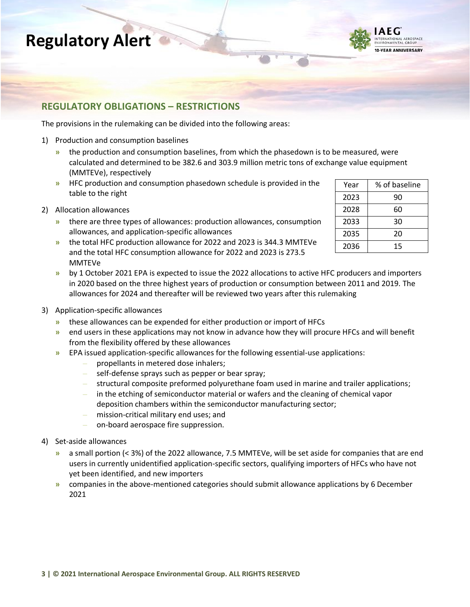

## **REGULATORY OBLIGATIONS – RESTRICTIONS**

The provisions in the rulemaking can be divided into the following areas:

- 1) Production and consumption baselines
	- **»** the production and consumption baselines, from which the phasedown is to be measured, were calculated and determined to be 382.6 and 303.9 million metric tons of exchange value equipment (MMTEVe), respectively
	- **»** HFC production and consumption phasedown schedule is provided in the table to the right
- 2) Allocation allowances
	- **»** there are three types of allowances: production allowances, consumption allowances, and application-specific allowances
	- **»** the total HFC production allowance for 2022 and 2023 is 344.3 MMTEVe and the total HFC consumption allowance for 2022 and 2023 is 273.5 MMTEVe
	- **»** by 1 October 2021 EPA is expected to issue the 2022 allocations to active HFC producers and importers in 2020 based on the three highest years of production or consumption between 2011 and 2019. The allowances for 2024 and thereafter will be reviewed two years after this rulemaking
- 3) Application-specific allowances
	- **»** these allowances can be expended for either production or import of HFCs
	- **»** end users in these applications may not know in advance how they will procure HFCs and will benefit from the flexibility offered by these allowances
	- **»** EPA issued application-specific allowances for the following essential-use applications:
		- **–** propellants in metered dose inhalers;
		- **–** self-defense sprays such as pepper or bear spray;
		- **–** structural composite preformed polyurethane foam used in marine and trailer applications;
		- **–** in the etching of semiconductor material or wafers and the cleaning of chemical vapor deposition chambers within the semiconductor manufacturing sector;
		- **–** mission-critical military end uses; and
		- **–** on-board aerospace fire suppression.
- 4) Set-aside allowances
	- **»** a small portion (< 3%) of the 2022 allowance, 7.5 MMTEVe, will be set aside for companies that are end users in currently unidentified application-specific sectors, qualifying importers of HFCs who have not yet been identified, and new importers
	- **»** companies in the above-mentioned categories should submit allowance applications by 6 December 2021

| Year | % of baseline |
|------|---------------|
| 2023 | 90            |
| 2028 | 60            |
| 2033 | 30            |
| 2035 | 20            |
| 2036 | 15            |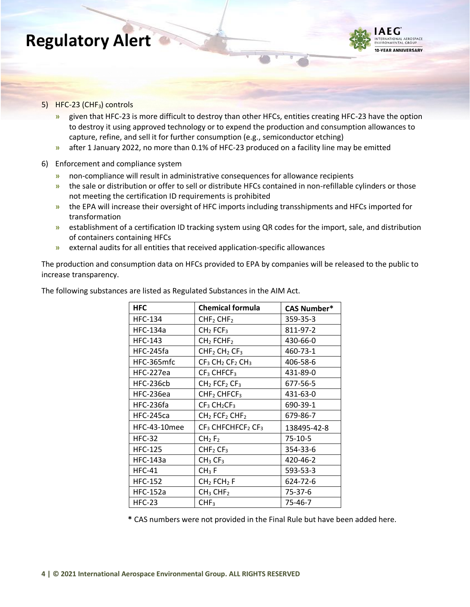## **Regulatory Alert**



#### 5) HFC-23 (CHF<sub>3</sub>) controls

- **»** given that HFC-23 is more difficult to destroy than other HFCs, entities creating HFC-23 have the option to destroy it using approved technology or to expend the production and consumption allowances to capture, refine, and sell it for further consumption (e.g., semiconductor etching)
- **»** after 1 January 2022, no more than 0.1% of HFC-23 produced on a facility line may be emitted
- 6) Enforcement and compliance system
	- **»** non-compliance will result in administrative consequences for allowance recipients
	- **»** the sale or distribution or offer to sell or distribute HFCs contained in non-refillable cylinders or those not meeting the certification ID requirements is prohibited
	- **»** the EPA will increase their oversight of HFC imports including transshipments and HFCs imported for transformation
	- **»** establishment of a certification ID tracking system using QR codes for the import, sale, and distribution of containers containing HFCs
	- **»** external audits for all entities that received application-specific allowances

The production and consumption data on HFCs provided to EPA by companies will be released to the public to increase transparency.

| <b>HFC</b>       | <b>Chemical formula</b>                          | <b>CAS Number*</b> |
|------------------|--------------------------------------------------|--------------------|
| <b>HFC-134</b>   | CHF <sub>2</sub> CHF <sub>2</sub>                | 359-35-3           |
| <b>HFC-134a</b>  | CH <sub>2</sub> FCF <sub>3</sub>                 | 811-97-2           |
| <b>HFC-143</b>   | $CH2$ FCHF <sub>2</sub>                          | 430-66-0           |
| HFC-245fa        | $CHF2 CH2 CF3$                                   | 460-73-1           |
| HFC-365mfc       | $CF3 CH2 CF2 CH3$                                | 406-58-6           |
| HFC-227ea        | $CF3$ CHFCF <sub>3</sub>                         | 431-89-0           |
| HFC-236cb        | CH <sub>2</sub> FCF <sub>2</sub> CF <sub>3</sub> | 677-56-5           |
| HFC-236ea        | CHF <sub>2</sub> CHFCF <sub>3</sub>              | 431-63-0           |
| HFC-236fa        | $CF3 CH2CF3$                                     | 690-39-1           |
| <b>HFC-245ca</b> | $CH2$ FCF <sub>2</sub> CHF <sub>2</sub>          | 679-86-7           |
| HFC-43-10mee     | $CF3$ CHFCHFCF <sub>2</sub> CF <sub>3</sub>      | 138495-42-8        |
| <b>HFC-32</b>    | CH <sub>2</sub> F <sub>2</sub>                   | 75-10-5            |
| <b>HFC-125</b>   | CHF <sub>2</sub> CF <sub>3</sub>                 | 354-33-6           |
| <b>HFC-143a</b>  | CH <sub>3</sub> CF <sub>3</sub>                  | 420-46-2           |
| <b>HFC-41</b>    | CH <sub>3</sub> F                                | 593-53-3           |
| <b>HFC-152</b>   | $CH2$ FCH <sub>2</sub> F                         | 624-72-6           |
| <b>HFC-152a</b>  | CH <sub>3</sub> CHF <sub>2</sub>                 | 75-37-6            |
| $HFC-23$         | CHF <sub>3</sub>                                 | 75-46-7            |

The following substances are listed as Regulated Substances in the AIM Act.

 **\*** CAS numbers were not provided in the Final Rule but have been added here.